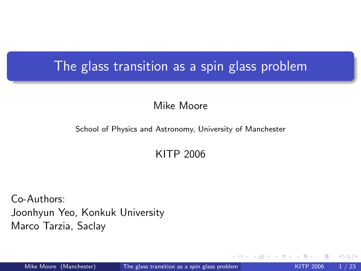### The glass transition as a spin glass problem

### Mike Moore

School of Physics and Astronomy, University of Manchester

#### KITP 2006

Co-Authors: Joonhyun Yeo, Konkuk University Marco Tarzia, Saclay

<span id="page-0-0"></span>つひひ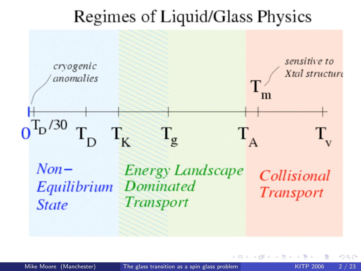# Regimes of Liquid/Glass Physics

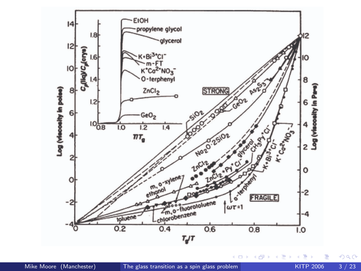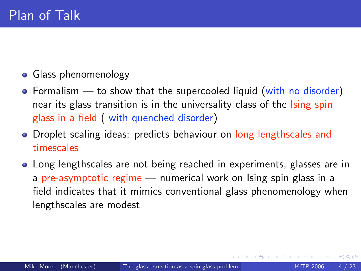- **•** Glass phenomenology
- $\bullet$  Formalism to show that the supercooled liquid (with no disorder) near its glass transition is in the universality class of the *sing spin* glass in a field ( with quenched disorder)
- Droplet scaling ideas: predicts behaviour on long lengthscales and timescales
- Long lengthscales are not being reached in experiments, glasses are in a pre-asymptotic regime – numerical work on Ising spin glass in a field indicates that it mimics conventional glass phenomenology when lengthscales are modest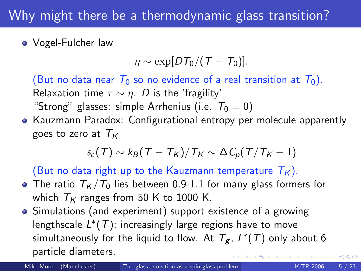# Why might there be a thermodynamic glass transition?

Vogel-Fulcher law

$$
\eta \sim \exp[DT_0/(T-T_0)].
$$

(But no data near  $T_0$  so no evidence of a real transition at  $T_0$ ). Relaxation time  $\tau \sim \eta$ . *D* is the 'fragility' "Strong" glasses: simple Arrhenius (i.e.  $T_0 = 0$ )

• Kauzmann Paradox: Configurational entropy per molecule apparently goes to zero at *T<sup>K</sup>*

<span id="page-4-0"></span>
$$
s_c(T) \sim k_B(T-T_K)/T_K \sim \Delta C_p(T/T_K-1)
$$

(But no data right up to the Kauzmann temperature  $T_K$ ).

- The ratio  $T_K/T_0$  lies between 0.9-1.1 for many glass formers for which  $T_K$  ranges from 50 K to 1000 K.
- Simulations (and experiment) support existence of a growing lengthscale  $L^*(T)$ ; increasingly large regions have to move simultaneously for the liquid to flow. At  $T_g$ ,  $L^*(T)$  only about 6 particle diameters.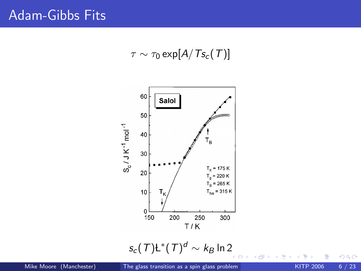$$
\tau \sim \tau_0 \exp[A/T_{\mathcal{S}_C}(T)]
$$



*s*<sup>*c*</sup> (*T*)**L**<sup>\*</sup> (*T*)<sup>*d*</sup> ∼ *k*<sub>*B*</sub> ln [2](#page-4-0)

 $\Box$ 

 $\sim$ ∍ ×

Mike Moore (Manchester) The glass [transition](#page-0-0) as a spin glass problem KITP 2006 6/23

э

Þ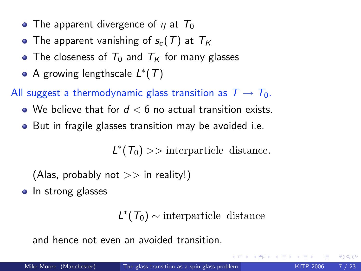- The apparent divergence of  $\eta$  at  $T_0$
- The apparent vanishing of  $s_c(T)$  at  $T_K$
- The closeness of  $T_0$  and  $T_K$  for many glasses
- A growing lengthscale *L*∗(*T*)

All suggest a thermodynamic glass transition as  $T \rightarrow T_0$ .

- We believe that for *d* < 6 no actual transition exists.
- But in fragile glasses transition may be avoided i.e.

 $L^*(T_0) \gg$  interparticle distance.

(Alas, probably not  $\gg$  in reality!)

• In strong glasses

<span id="page-6-0"></span>*L*<sup>∗</sup>( $T_0$ ) ∼ interparticle distance

and hence not even an avoided transition.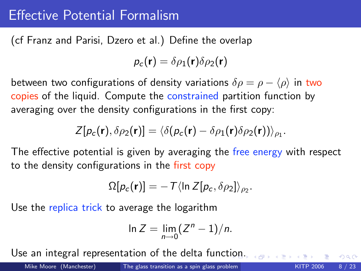# Effective Potential Formalism

(cf Franz and Parisi, Dzero et al.) Define the overlap

 $p_c(\mathbf{r}) = \delta \rho_1(\mathbf{r}) \delta \rho_2(\mathbf{r})$ 

between two configurations of density variations  $\delta \rho = \rho - \langle \rho \rangle$  in two copies of the liquid. Compute the constrained partition function by averaging over the density configurations in the first copy:

$$
Z[p_c(\mathbf{r}), \delta \rho_2(\mathbf{r})] = \langle \delta(p_c(\mathbf{r}) - \delta \rho_1(\mathbf{r}) \delta \rho_2(\mathbf{r})) \rangle_{\rho_1}.
$$

The effective potential is given by averaging the free energy with respect to the density configurations in the first copy

$$
\Omega[p_c(\mathbf{r})] = -T \langle \ln Z[p_c, \delta \rho_2] \rangle_{\rho_2}.
$$

Use the replica trick to average the logarithm

$$
\ln Z = \lim_{n \to 0} (Z^n - 1)/n.
$$

Use an integral representat[ion](#page-6-0) of the delta function[.](#page-8-0)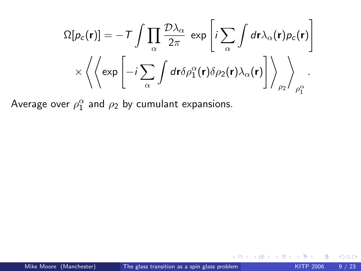$$
\Omega[\rho_c(\mathbf{r})] = -T \int \prod_{\alpha} \frac{\mathcal{D}\lambda_{\alpha}}{2\pi} \exp \left[ i \sum_{\alpha} \int d\mathbf{r} \lambda_{\alpha}(\mathbf{r}) \rho_c(\mathbf{r}) \right] \times \left\langle \left\langle \exp \left[ -i \sum_{\alpha} \int d\mathbf{r} \delta \rho_1^{\alpha}(\mathbf{r}) \delta \rho_2(\mathbf{r}) \lambda_{\alpha}(\mathbf{r}) \right] \right\rangle_{\rho_2} \right\rangle_{\rho_1^{\alpha}}.
$$

Average over  $\rho_1^{\alpha}$  and  $\rho_2$  by cumulant expansions.

<span id="page-8-0"></span> $\Box$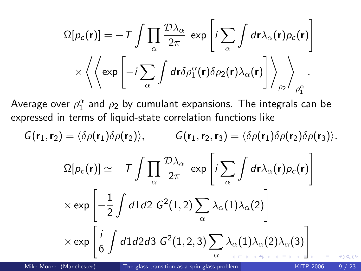$$
\Omega[\rho_c(\mathbf{r})] = -T \int \prod_{\alpha} \frac{\mathcal{D}\lambda_{\alpha}}{2\pi} \exp \left[ i \sum_{\alpha} \int d\mathbf{r} \lambda_{\alpha}(\mathbf{r}) \rho_c(\mathbf{r}) \right] \times \left\langle \left\langle \exp \left[ -i \sum_{\alpha} \int d\mathbf{r} \delta \rho_1^{\alpha}(\mathbf{r}) \delta \rho_2(\mathbf{r}) \lambda_{\alpha}(\mathbf{r}) \right] \right\rangle_{\rho_2} \right\rangle_{\rho_1^{\alpha}}.
$$

Average over  $\rho_1^\alpha$  and  $\rho_2$  by cumulant expansions. The integrals can be expressed in terms of liquid-state correlation functions like

$$
G(\mathbf{r}_1, \mathbf{r}_2) = \langle \delta \rho(\mathbf{r}_1) \delta \rho(\mathbf{r}_2) \rangle, \qquad G(\mathbf{r}_1, \mathbf{r}_2, \mathbf{r}_3) = \langle \delta \rho(\mathbf{r}_1) \delta \rho(\mathbf{r}_2) \delta \rho(\mathbf{r}_3) \rangle.
$$

$$
\Omega[p_c(\mathbf{r})] \simeq -T \int \prod_{\alpha} \frac{\mathcal{D}\lambda_{\alpha}}{2\pi} \exp \left[ i \sum_{\alpha} \int d\mathbf{r} \lambda_{\alpha}(\mathbf{r}) p_c(\mathbf{r}) \right]
$$

$$
\times \exp \left[ -\frac{1}{2} \int d1 d2 G^2(1, 2) \sum_{\alpha} \lambda_{\alpha}(1) \lambda_{\alpha}(2) \right]
$$

$$
\times \exp \left[ \frac{i}{6} \int d1 d2 d3 G^2(1, 2, 3) \sum_{\alpha} \lambda_{\alpha}(1) \lambda_{\alpha}(2) \lambda_{\alpha}(3) \right]
$$

Mike Moore (Manchester) The glass [transition](#page-0-0) as a spin glass problem KITP 2006 9 / 23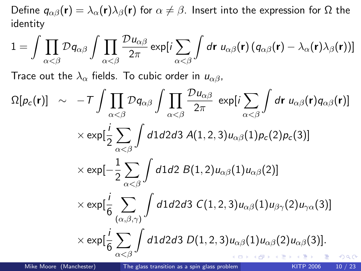Define  $q_{\alpha\beta}(\mathbf{r}) = \lambda_{\alpha}(\mathbf{r})\lambda_{\beta}(\mathbf{r})$  for  $\alpha \neq \beta$ . Insert into the expression for  $\Omega$  the identity

$$
1 = \int \prod_{\alpha < \beta} \mathcal{D} q_{\alpha\beta} \int \prod_{\alpha < \beta} \frac{\mathcal{D} u_{\alpha\beta}}{2\pi} \exp[i \sum_{\alpha < \beta} \int d\mathbf{r} \ u_{\alpha\beta}(\mathbf{r}) (q_{\alpha\beta}(\mathbf{r}) - \lambda_{\alpha}(\mathbf{r}) \lambda_{\beta}(\mathbf{r}))]
$$

Trace out the  $\lambda_{\alpha}$  fields. To cubic order in  $u_{\alpha\beta}$ ,

$$
\Omega[p_c(\mathbf{r})] \sim -T \int \prod_{\alpha < \beta} \mathcal{D}q_{\alpha\beta} \int \prod_{\alpha < \beta} \frac{\mathcal{D}u_{\alpha\beta}}{2\pi} \exp[i \sum_{\alpha < \beta} \int d\mathbf{r} \ u_{\alpha\beta}(\mathbf{r}) q_{\alpha\beta}(\mathbf{r})]
$$
  
\n
$$
\times \exp[\frac{i}{2} \sum_{\alpha < \beta} \int d1 d2 d3 A(1,2,3) u_{\alpha\beta}(1) p_c(2) p_c(3)]
$$
  
\n
$$
\times \exp[-\frac{1}{2} \sum_{\alpha < \beta} \int d1 d2 B(1,2) u_{\alpha\beta}(1) u_{\alpha\beta}(2)]
$$
  
\n
$$
\times \exp[\frac{i}{6} \sum_{(\alpha,\beta,\gamma)} \int d1 d2 d3 C(1,2,3) u_{\alpha\beta}(1) u_{\beta\gamma}(2) u_{\gamma\alpha}(3)]
$$
  
\n
$$
\times \exp[\frac{i}{6} \sum_{\alpha < \beta} \int d1 d2 d3 D(1,2,3) u_{\alpha\beta}(1) u_{\alpha\beta}(2) u_{\alpha\beta}(3)].
$$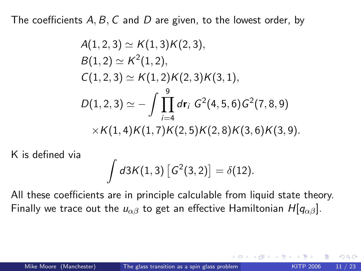The coefficients *A*,*B*, *C* and *D* are given, to the lowest order, by

$$
A(1,2,3) \simeq K(1,3)K(2,3),
$$
  
\n
$$
B(1,2) \simeq K^2(1,2),
$$
  
\n
$$
C(1,2,3) \simeq K(1,2)K(2,3)K(3,1),
$$
  
\n
$$
D(1,2,3) \simeq -\int \prod_{i=4}^{9} d\mathbf{r}_i G^2(4,5,6)G^2(7,8,9)
$$
  
\n
$$
\times K(1,4)K(1,7)K(2,5)K(2,8)K(3,6)K(3,9).
$$

K is defined via

$$
\int d3K(1,3)\left[G^2(3,2)\right]=\delta(12).
$$

All these coefficients are in principle calculable from liquid state theory. Finally we trace out the  $u_{\alpha\beta}$  to get an effective Hamiltonian  $H[q_{\alpha\beta}]$ .

<span id="page-11-0"></span>k,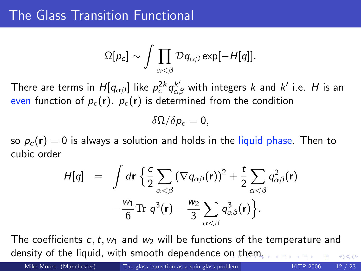$$
\Omega[\rho_c] \sim \int \prod_{\alpha < \beta} \mathcal{D}q_{\alpha\beta} \exp[-H[q]].
$$

There are terms in  $H[q_{\alpha\beta}]$  like  $p^{2k}_c q^{k'}_{\alpha\beta}$  with integers  $k$  and  $k'$  i.e.  $H$  is an even function of  $p_c(\mathbf{r})$ .  $p_c(\mathbf{r})$  is determined from the condition

$$
\delta\Omega/\delta p_c=0,
$$

so  $p_c(\mathbf{r}) = 0$  is always a solution and holds in the liquid phase. Then to cubic order

$$
H[q] = \int d\mathbf{r} \left\{ \frac{c}{2} \sum_{\alpha < \beta} (\nabla q_{\alpha\beta}(\mathbf{r}))^2 + \frac{t}{2} \sum_{\alpha < \beta} q_{\alpha\beta}^2(\mathbf{r}) - \frac{w_1}{6} \text{Tr } q^3(\mathbf{r}) - \frac{w_2}{3} \sum_{\alpha < \beta} q_{\alpha\beta}^3(\mathbf{r}) \right\}.
$$

The coefficients *c*,*t*,*w*<sup>1</sup> and *w*<sup>2</sup> will be functions of the temperature and density of the liquid, with smooth dependence o[n](#page-11-0) t[he](#page-13-0)[m](#page-11-0).  $QQ$ 

Mike Moore (Manchester) The glass [transition](#page-0-0) as a spin glass problem KITP 2006 12 / 23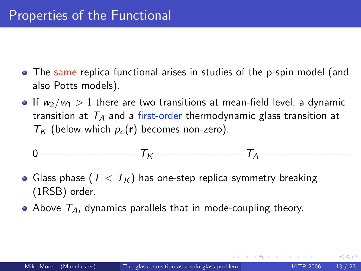- The same replica functional arises in studies of the p-spin model (and also Potts models).
- If  $w_2/w_1 > 1$  there are two transitions at mean-field level, a dynamic transition at *T<sup>A</sup>* and a first-order thermodynamic glass transition at  $T_K$  (below which  $p_c(r)$  becomes non-zero).

$$
0--------------T_{K}-------T_{A}---------------
$$

- Glass phase ( $T < T_K$ ) has one-step replica symmetry breaking (1RSB) order.
- Above *TA*, dynamics parallels that in mode-coupling theory.

<span id="page-13-0"></span>つへへ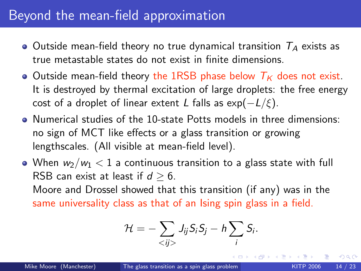# Beyond the mean-field approximation

- Outside mean-field theory no true dynamical transition *T<sup>A</sup>* exists as true metastable states do not exist in finite dimensions.
- $\bullet$  Outside mean-field theory the 1RSB phase below  $T_K$  does not exist. It is destroyed by thermal excitation of large droplets: the free energy cost of a droplet of linear extent *L* falls as exp(−*L*/ξ).
- Numerical studies of the 10-state Potts models in three dimensions: no sign of MCT like effects or a glass transition or growing lengthscales. (All visible at mean-field level).
- When  $w_2/w_1 < 1$  a continuous transition to a glass state with full RSB can exist at least if  $d \geq 6$ . Moore and Drossel showed that this transition (if any) was in the

same universality class as that of an Ising spin glass in a field.

$$
\mathcal{H}=-\sum_{}J_{ij}S_iS_j-h\sum_iS_i.
$$

つひひ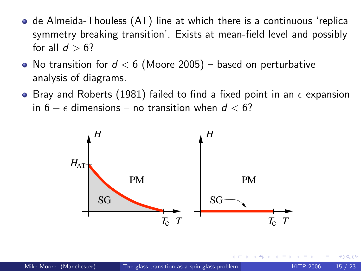- **•** de Almeida-Thouless (AT) line at which there is a continuous 'replica symmetry breaking transition'. Exists at mean-field level and possibly for all  $d > 6$ ?
- No transition for *d* < 6 (Moore 2005) based on perturbative analysis of diagrams.
- Bray and Roberts (1981) failed to find a fixed point in an  $\epsilon$  expansion in  $6 - \epsilon$  dimensions – no transition when  $d < 6$ ?



つひひ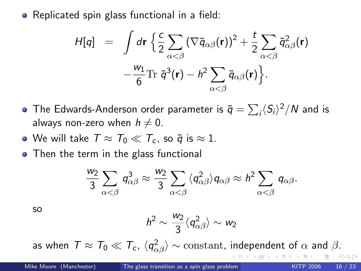• Replicated spin glass functional in a field:

$$
H[q] = \int d\mathbf{r} \left\{ \frac{c}{2} \sum_{\alpha < \beta} (\nabla \tilde{q}_{\alpha\beta}(\mathbf{r}))^2 + \frac{t}{2} \sum_{\alpha < \beta} \tilde{q}_{\alpha\beta}^2(\mathbf{r}) -\frac{w_1}{6} \text{Tr } \tilde{q}^3(\mathbf{r}) - h^2 \sum_{\alpha < \beta} \tilde{q}_{\alpha\beta}(\mathbf{r}) \right\}.
$$

- The Edwards-Anderson order parameter is  $\tilde{q} = \sum_i \langle S_i \rangle^2 / N$  and is always non-zero when  $h \neq 0$ .
- We will take  $T \approx T_0 \ll T_c$ , so  $\tilde{q}$  is  $\approx 1$ .
- Then the term in the glass functional

$$
\frac{w_2}{3}\sum_{\alpha<\beta}q_{\alpha\beta}^3\approx \frac{w_2}{3}\sum_{\alpha<\beta}\langle q_{\alpha\beta}^2\rangle q_{\alpha\beta}\approx h^2\sum_{\alpha<\beta}q_{\alpha\beta}.
$$

so

$$
h^2 \sim \frac{w_2}{3} \langle q_{\alpha\beta}^2 \rangle \sim w_2
$$

as when  $\mathcal{T} \approx \mathcal{T}_0 \ll \mathcal{T}_c$ ,  $\langle q^2_{\alpha\beta}\rangle \sim {\rm constant}$ , independent of  $\alpha$  and  $\beta$ .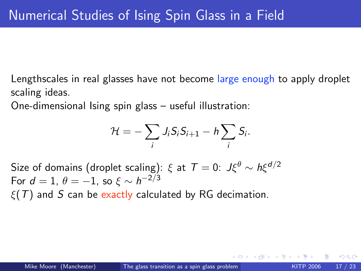Lengthscales in real glasses have not become large enough to apply droplet scaling ideas.

One-dimensional Ising spin glass – useful illustration:

$$
\mathcal{H}=-\sum_i J_i S_i S_{i+1}-h\sum_i S_i.
$$

Size of domains (droplet scaling):  $\xi$  at  $T = 0$ :  $J\xi^{\theta} \sim h\xi^{d/2}$ For  $d = 1$ ,  $\theta = -1$ , so  $\xi \sim h^{-2/3}$ ξ(*T*) and *S* can be exactly calculated by RG decimation.

つひひ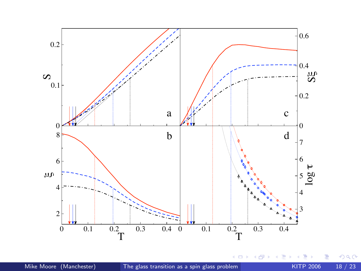

4日)

k. b. メモト

活

∍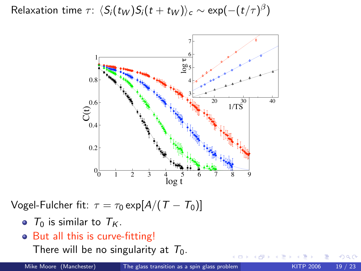Relaxation time 
$$
\tau
$$
:  $\langle S_i(t_W)S_i(t+t_W)\rangle_c \sim \exp(-(t/\tau)^{\beta})$ 



Vogel-Fulcher fit:  $\tau = \tau_0 \exp[A/(T - T_0)]$ 

- $\bullet$  *T*<sup>0</sup> is similar to *T*<sup>*K*</sup>.
- But all this is curve-fitting!

There will be no singularity at  $T_0$ .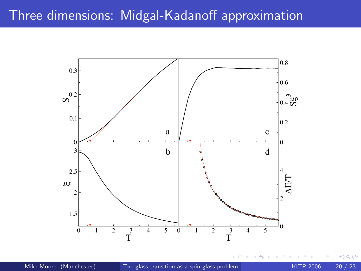# Three dimensions: Midgal-Kadanoff approximation



Mike Moore (Manchester) The glass [transition](#page-0-0) as a spin glass problem  $KITP 2006 20 / 23$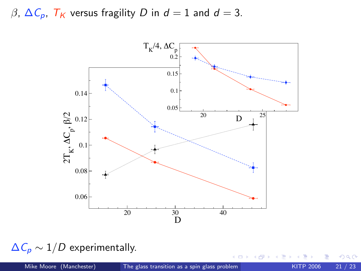β, ∆*Cp*, *T<sup>K</sup>* versus fragility *D* in *d* = 1 and *d* = 3.



 $\Delta \mathcal{C}_p \sim 1/D$  experimentally.

 $2Q$